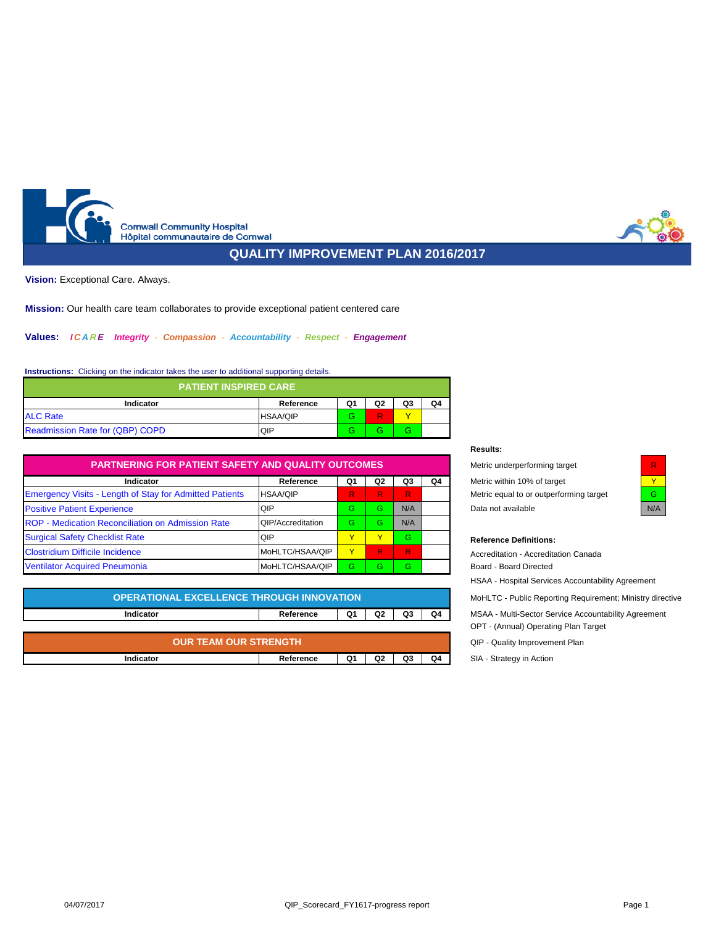<span id="page-0-1"></span><span id="page-0-0"></span>

# **QUALITY IMPROVEMENT PLAN 2016/2017**

**Vision:** Exceptional Care. Always.

**Mission:** Our health care team collaborates to provide exceptional patient centered care

# **Values:** *I C A R E Integrity - Compassion - Accountability - Respect - Engagement*

# **Instructions:** Clicking on the indicator takes the user to additional supporting details.

| <b>PATIENT INSPIRED CARE</b>                   |                 |   |   |   |  |  |  |  |  |  |
|------------------------------------------------|-----------------|---|---|---|--|--|--|--|--|--|
| Q3<br>Q1<br>Q2<br>Q4<br>Indicator<br>Reference |                 |   |   |   |  |  |  |  |  |  |
| <b>ALC Rate</b>                                | <b>HSAA/QIP</b> | G | R |   |  |  |  |  |  |  |
| Readmission Rate for (QBP) COPD                | QIP             | G |   | G |  |  |  |  |  |  |

| <b>PARTNERING FOR PATIENT SAFETY AND QUALITY OUTCOMES</b>      | Metric underperforming target | R              |    |              |                             |                                         |     |
|----------------------------------------------------------------|-------------------------------|----------------|----|--------------|-----------------------------|-----------------------------------------|-----|
| Indicator                                                      | Q1                            | Q <sub>2</sub> | Q3 | Q4           | Metric within 10% of target |                                         |     |
| <b>Emergency Visits - Length of Stay for Admitted Patients</b> | <b>HSAA/QIP</b>               | R              | R. | $\mathbb{R}$ |                             | Metric equal to or outperforming target | G   |
| <b>Positive Patient Experience</b>                             | QIP                           | G.             | G. | N/A          |                             | Data not available                      | N/F |
| ROP - Medication Reconciliation on Admission Rate              | <b>QIP/Accreditation</b>      | G.             | G. | N/A          |                             |                                         |     |
| <b>Surgical Safety Checklist Rate</b>                          | <b>QIP</b>                    |                |    | G.           |                             | <b>Reference Definitions:</b>           |     |
| <b>Clostridium Difficile Incidence</b>                         | MoHLTC/HSAA/QIP               |                | R. | R.           |                             | Accreditation - Accreditation Canada    |     |
| <b>Ventilator Acquired Pneumonia</b>                           | MoHLTC/HSAA/QIP               | G.             | Ġ. | G.           |                             | Board - Board Directed                  |     |

| <b>OPERATIONAL EXCELLENCE THROUGH INNOVATION</b> | MoHLTC - Public Reporting Requirement; Ministry dire |    |                |    |    |                                                     |
|--------------------------------------------------|------------------------------------------------------|----|----------------|----|----|-----------------------------------------------------|
| Indicator                                        | Reference                                            | Q1 | Q <sub>2</sub> | Q3 | Q4 | MSAA - Multi-Sector Service Accountability Agreemen |
|                                                  |                                                      |    |                |    |    | OPT - (Annual) Operating Plan Target                |
|                                                  |                                                      |    |                |    |    |                                                     |

| . TEAM OUR STRENGTH | QIP              |    |                |    |                |                             |
|---------------------|------------------|----|----------------|----|----------------|-----------------------------|
| )UR                 | Quality Improven |    |                |    |                |                             |
| Indicator           | Reference        | Q1 | Q <sub>2</sub> | Q3 | Q <sub>4</sub> | SIA -<br>Strategy in Actior |

## **Results:**

| Metric underperforming target           |  |
|-----------------------------------------|--|
| Metric within 10% of target             |  |
| Metric equal to or outperforming target |  |
| Data not available                      |  |

| J/A |
|-----|

## $Reference$  Definitions:

| Accreditation - Accreditation Canada<br>Board - Board Directed<br><b>HSAA - Hospital Services Accountability Agreement</b> |
|----------------------------------------------------------------------------------------------------------------------------|
| MoHLTC - Public Reporting Requirement; Ministry directive                                                                  |
| MSAA - Multi-Sector Service Accountability Agreement<br>OPT - (Annual) Operating Plan Target                               |
| QIP - Quality Improvement Plan                                                                                             |
| SIA - Strategy in Action                                                                                                   |
|                                                                                                                            |

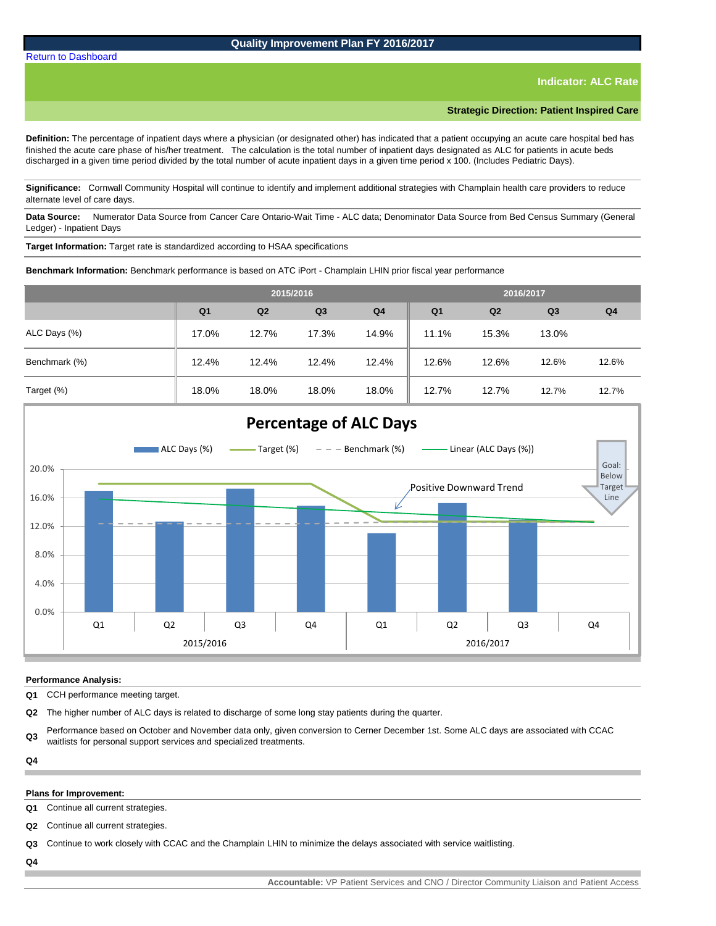**Indicator: ALC Rate**

**Strategic Direction: Patient Inspired Care**

**Definition:** The percentage of inpatient days where a physician (or designated other) has indicated that a patient occupying an acute care hospital bed has finished the acute care phase of his/her treatment. The calculation is the total number of inpatient days designated as ALC for patients in acute beds discharged in a given time period divided by the total number of acute inpatient days in a given time period x 100. (Includes Pediatric Days).

**Significance:** Cornwall Community Hospital will continue to identify and implement additional strategies with Champlain health care providers to reduce alternate level of care days.

**Data Source:** Numerator Data Source from Cancer Care Ontario-Wait Time - ALC data; Denominator Data Source from Bed Census Summary (General Ledger) - Inpatient Days

**Target Information:** Target rate is standardized according to HSAA specifications

**Q1 Q2 Q3 Q4 Q1 Q2 Q3 Q4** 17.0% 12.7% 17.3% 14.9% 11.1% 15.3% 13.0% ALC Days (%) **2015/2016 2016/2017**

**Benchmark Information:** Benchmark performance is based on ATC iPort - Champlain LHIN prior fiscal year performance

12.4% 12.4% 12.4% 12.4% 12.6% 12.6% 12.6% 12.6%

18.0% 18.0% 18.0% 18.0% 12.7% 12.7% 12.7% 12.7%

0.0% 4.0% 8.0% 12.0% 16.0% 20.0%  $Q1$   $Q2$   $Q3$   $Q4$   $Q1$   $Q2$   $Q3$   $Q4$ 2015/2016 2016/2017 **Percentage of ALC Days** ALC Days  $(\%)$   $\longrightarrow$  Target  $(\%)$   $\longrightarrow$  Benchmark  $(\%)$   $\longrightarrow$  Linear (ALC Days  $(\%)$ ) Goal: Below Target Line Positive Downward Trend

## **Performance Analysis:**

Benchmark (%)

Target (%)

**Q1** CCH performance meeting target.

**Q2** The higher number of ALC days is related to discharge of some long stay patients during the quarter.

**Q3** Performance based on October and November data only, given conversion to Cerner December 1st. Some ALC days are associated with CCAC waitlists for personal support services and specialized treatments.

**Q4**

## **Plans for Improvement:**

**Q1** Continue all current strategies.

**Q2** Continue all current strategies.

**Q3** Continue to work closely with CCAC and the Champlain LHIN to minimize the delays associated with service waitlisting.

**Q4**



# <span id="page-1-0"></span>[Return to Dashboard](#page-0-0)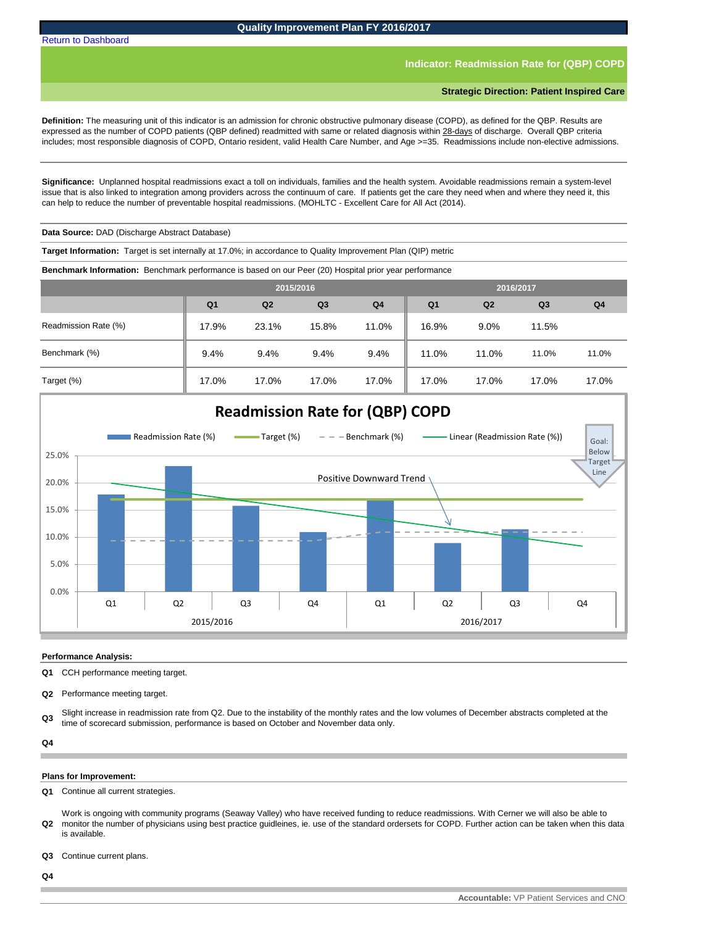## **Indicator: Readmission Rate for (QBP) COPD**

<span id="page-2-0"></span>**Definition:** The measuring unit of this indicator is an admission for chronic obstructive pulmonary disease (COPD), as defined for the QBP. Results are expressed as the number of COPD patients (QBP defined) readmitted with same or related diagnosis within 28-days of discharge. Overall QBP criteria includes; most responsible diagnosis of COPD, Ontario resident, valid Health Care Number, and Age >=35. Readmissions include non-elective admissions.

**Significance:** Unplanned hospital readmissions exact a toll on individuals, families and the health system. Avoidable readmissions remain a system-level issue that is also linked to integration among providers across the continuum of care. If patients get the care they need when and where they need it, this can help to reduce the number of preventable hospital readmissions. (MOHLTC - Excellent Care for All Act (2014).

**Data Source:** DAD (Discharge Abstract Database)

**Target Information:** Target is set internally at 17.0%; in accordance to Quality Improvement Plan (QIP) metric

**Benchmark Information:** Benchmark performance is based on our Peer (20) Hospital prior year performance

|                      | 2015/2016      |                |       |                | 2016/2017      |                |                |                |
|----------------------|----------------|----------------|-------|----------------|----------------|----------------|----------------|----------------|
|                      | Q <sub>1</sub> | Q <sub>2</sub> | Q3    | Q <sub>4</sub> | Q <sub>1</sub> | Q <sub>2</sub> | Q <sub>3</sub> | Q <sub>4</sub> |
| Readmission Rate (%) | 17.9%          | 23.1%          | 15.8% | 11.0%          | 16.9%          | 9.0%           | 11.5%          |                |
| Benchmark (%)        | 9.4%           | 9.4%           | 9.4%  | 9.4%           | 11.0%          | 11.0%          | 11.0%          | 11.0%          |
| Target (%)           | 17.0%          | 17.0%          | 17.0% | 17.0%          | 17.0%          | 17.0%          | 17.0%          | 17.0%          |



#### **Performance Analysis:**

**Q1** CCH performance meeting target.

**Q2** Performance meeting target.

**Q3** Slight increase in readmission rate from Q2. Due to the instability of the monthly rates and the low volumes of December abstracts completed at the time of scorecard submission, performance is based on October and November data only.

**Q4**

#### **Plans for Improvement:**

**Q1** Continue all current strategies.

**Q2** Work is ongoing with community programs (Seaway Valley) who have received funding to reduce readmissions. With Cerner we will also be able to monitor the number of physicians using best practice guidleines, ie. use of the standard ordersets for COPD. Further action can be taken when this data is available.

**Q3** Continue current plans.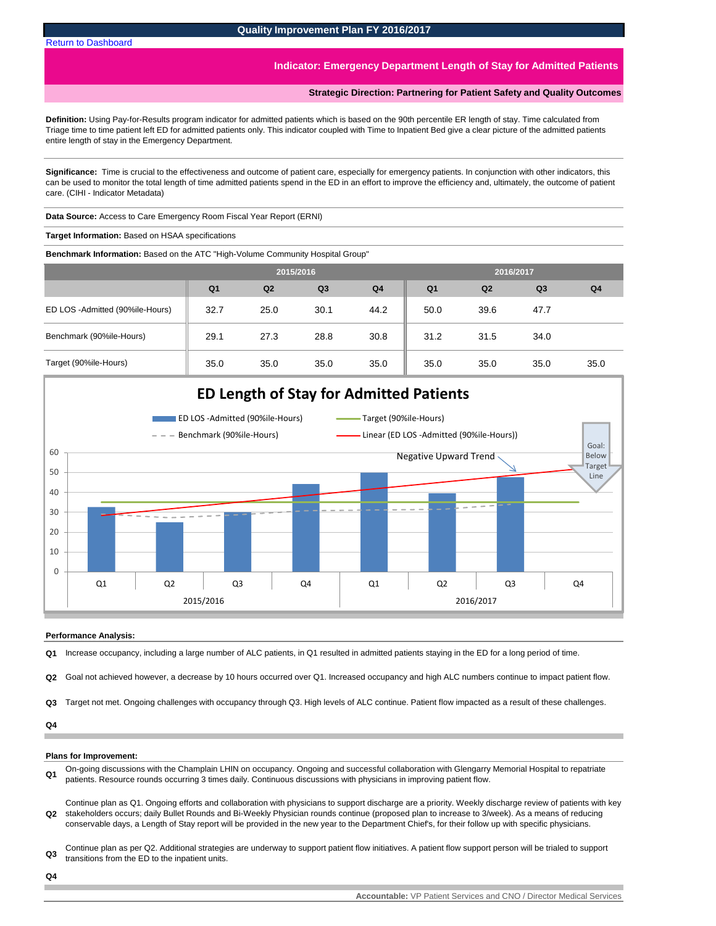## **Indicator: Emergency Department Length of Stay for Admitted Patients**

**Strategic Direction: Partnering for Patient Safety and Quality Outcomes**

<span id="page-3-0"></span>**Definition:** Using Pay-for-Results program indicator for admitted patients which is based on the 90th percentile ER length of stay. Time calculated from Triage time to time patient left ED for admitted patients only. This indicator coupled with Time to Inpatient Bed give a clear picture of the admitted patients entire length of stay in the Emergency Department.

**Significance:** Time is crucial to the effectiveness and outcome of patient care, especially for emergency patients. In conjunction with other indicators, this can be used to monitor the total length of time admitted patients spend in the ED in an effort to improve the efficiency and, ultimately, the outcome of patient care. (CIHI - Indicator Metadata)

**Data Source:** Access to Care Emergency Room Fiscal Year Report (ERNI)

**Target Information:** Based on HSAA specifications

**Benchmark Information:** Based on the ATC "High-Volume Community Hospital Group"

|                                 |                |                | 2015/2016      |                | 2016/2017<br>Q <sub>1</sub><br>Q <sub>2</sub><br>Q <sub>3</sub><br>50.0<br>39.6<br>47.7<br>31.2<br>31.5<br>34.0<br>35.0<br>35.0<br>35.0 |  |  |                |
|---------------------------------|----------------|----------------|----------------|----------------|-----------------------------------------------------------------------------------------------------------------------------------------|--|--|----------------|
|                                 | Q <sub>1</sub> | Q <sub>2</sub> | Q <sub>3</sub> | Q <sub>4</sub> |                                                                                                                                         |  |  | Q <sub>4</sub> |
| ED LOS -Admitted (90%ile-Hours) | 32.7           | 25.0           | 30.1           | 44.2           |                                                                                                                                         |  |  |                |
| Benchmark (90%ile-Hours)        | 29.1           | 27.3           | 28.8           | 30.8           |                                                                                                                                         |  |  |                |
| Target (90%ile-Hours)           | 35.0           | 35.0           | 35.0           | 35.0           |                                                                                                                                         |  |  | 35.0           |



#### **Performance Analysis:**

**Q1** Increase occupancy, including a large number of ALC patients, in Q1 resulted in admitted patients staying in the ED for a long period of time.

**Q2** Goal not achieved however, a decrease by 10 hours occurred over Q1. Increased occupancy and high ALC numbers continue to impact patient flow.

**Q3** Target not met. Ongoing challenges with occupancy through Q3. High levels of ALC continue. Patient flow impacted as a result of these challenges.

#### **Q4**

#### **Plans for Improvement:**

**Q1** On-going discussions with the Champlain LHIN on occupancy. Ongoing and successful collaboration with Glengarry Memorial Hospital to repatriate patients. Resource rounds occurring 3 times daily. Continuous discussions with physicians in improving patient flow.

**Q2** Continue plan as Q1. Ongoing efforts and collaboration with physicians to support discharge are a priority. Weekly discharge review of patients with key stakeholders occurs; daily Bullet Rounds and Bi-Weekly Physician rounds continue (proposed plan to increase to 3/week). As a means of reducing conservable days, a Length of Stay report will be provided in the new year to the Department Chief's, for their follow up with specific physicians.

**Q3** Continue plan as per Q2. Additional strategies are underway to support patient flow initiatives. A patient flow support person will be trialed to support transitions from the ED to the inpatient units.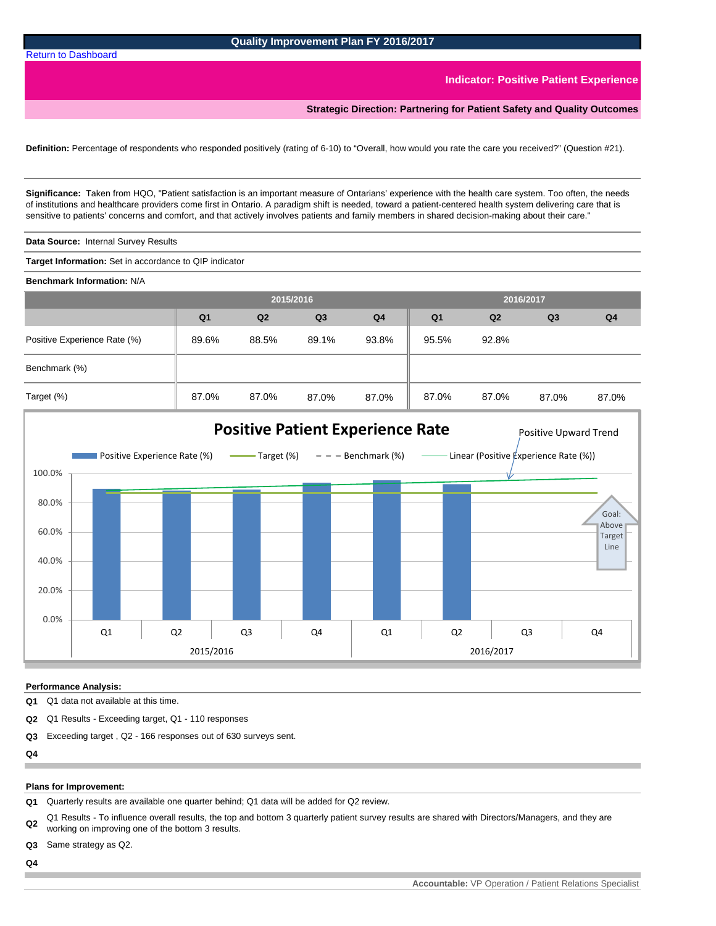#### **Indicator: Positive Patient Experience**

**Strategic Direction: Partnering for Patient Safety and Quality Outcomes**

<span id="page-4-0"></span>**Definition:** Percentage of respondents who responded positively (rating of 6-10) to "Overall, how would you rate the care you received?" (Question #21).

**Significance:** Taken from HQO, "Patient satisfaction is an important measure of Ontarians' experience with the health care system. Too often, the needs of institutions and healthcare providers come first in Ontario. A paradigm shift is needed, toward a patient-centered health system delivering care that is sensitive to patients' concerns and comfort, and that actively involves patients and family members in shared decision-making about their care."

**Data Source:** Internal Survey Results

**Target Information:** Set in accordance to QIP indicator

**Benchmark Information:** N/A

|                              | 2015/2016      |                |                |                | 2016/2017<br>Q <sub>2</sub><br>Q <sub>3</sub><br>Q <sub>1</sub><br>95.5%<br>92.8%<br>87.0%<br>87.0%<br>87.0% |  |  |                |
|------------------------------|----------------|----------------|----------------|----------------|--------------------------------------------------------------------------------------------------------------|--|--|----------------|
|                              | Q <sub>1</sub> | Q <sub>2</sub> | Q <sub>3</sub> | Q <sub>4</sub> |                                                                                                              |  |  | Q <sub>4</sub> |
| Positive Experience Rate (%) | 89.6%          | 88.5%          | 89.1%          | 93.8%          |                                                                                                              |  |  |                |
| Benchmark (%)                |                |                |                |                |                                                                                                              |  |  |                |
| Target (%)                   | 87.0%          | 87.0%          | 87.0%          | 87.0%          |                                                                                                              |  |  | 87.0%          |



#### **Performance Analysis:**

**Q1** Q1 data not available at this time.

**Q2** Q1 Results - Exceeding target, Q1 - 110 responses

**Q3** Exceeding target , Q2 - 166 responses out of 630 surveys sent.

**Q4**

#### **Plans for Improvement:**

**Q1** Quarterly results are available one quarter behind; Q1 data will be added for Q2 review.

**Q2** Q1 Results - To influence overall results, the top and bottom 3 quarterly patient survey results are shared with Directors/Managers, and they are working on improving one of the bottom 3 results.

**Q3** Same strategy as Q2.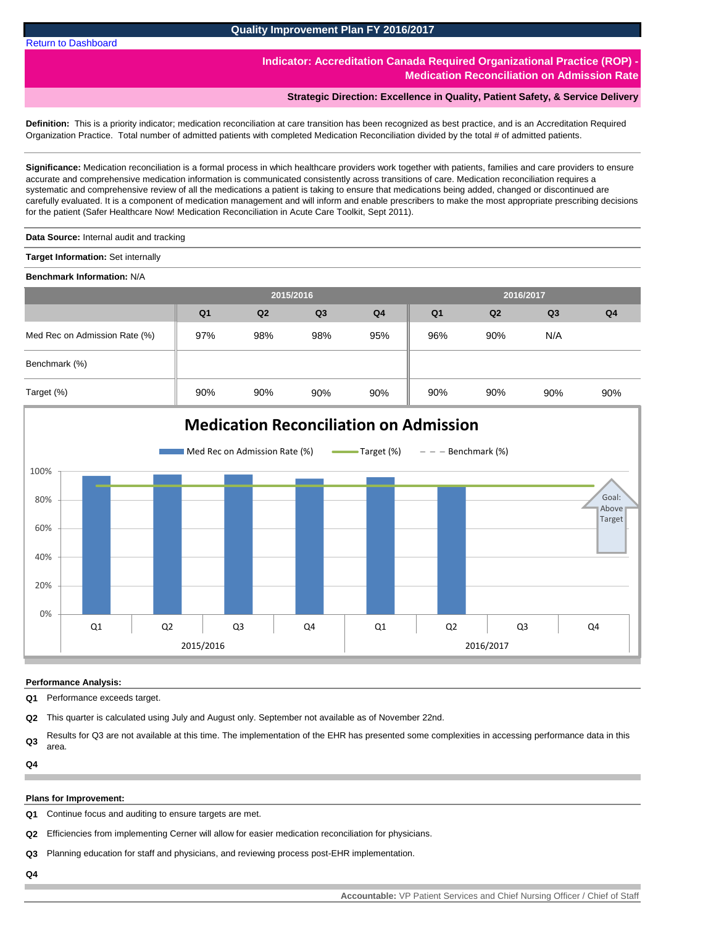**Quality Improvement Plan FY 2016/2017**

**Indicator: Accreditation Canada Required Organizational Practice (ROP) Medication Reconciliation on Admission Rate**

## **Strategic Direction: Excellence in Quality, Patient Safety, & Service Delivery**

<span id="page-5-0"></span>**Definition:** This is a priority indicator; medication reconciliation at care transition has been recognized as best practice, and is an Accreditation Required Organization Practice. Total number of admitted patients with completed Medication Reconciliation divided by the total # of admitted patients.

**Significance:** Medication reconciliation is a formal process in which healthcare providers work together with patients, families and care providers to ensure accurate and comprehensive medication information is communicated consistently across transitions of care. Medication reconciliation requires a systematic and comprehensive review of all the medications a patient is taking to ensure that medications being added, changed or discontinued are carefully evaluated. It is a component of medication management and will inform and enable prescribers to make the most appropriate prescribing decisions for the patient (Safer Healthcare Now! Medication Reconciliation in Acute Care Toolkit, Sept 2011).

**Data Source:** Internal audit and tracking

**Target Information:** Set internally

**Benchmark Information:** N/A

|                               |                |                | 2015/2016 |                | 2016/2017<br>Q <sub>1</sub><br>Q <sub>3</sub><br>Q <sub>2</sub><br>96%<br>90%<br>N/A |     |     |                |
|-------------------------------|----------------|----------------|-----------|----------------|--------------------------------------------------------------------------------------|-----|-----|----------------|
|                               | Q <sub>1</sub> | Q <sub>2</sub> | Q3        | Q <sub>4</sub> |                                                                                      |     |     | Q <sub>4</sub> |
| Med Rec on Admission Rate (%) | 97%            | 98%            | 98%       | 95%            |                                                                                      |     |     |                |
| Benchmark (%)                 |                |                |           |                |                                                                                      |     |     |                |
| Target (%)                    | 90%            | 90%            | 90%       | 90%            | 90%                                                                                  | 90% | 90% | 90%            |



#### **Performance Analysis:**

**Q1** Performance exceeds target.

**Q2** This quarter is calculated using July and August only. September not available as of November 22nd.

**Q3** Results for Q3 are not available at this time. The implementation of the EHR has presented some complexities in accessing performance data in this area.

**Q4**

#### **Plans for Improvement:**

**Q1** Continue focus and auditing to ensure targets are met.

**Q2** Efficiencies from implementing Cerner will allow for easier medication reconciliation for physicians.

**Q3** Planning education for staff and physicians, and reviewing process post-EHR implementation.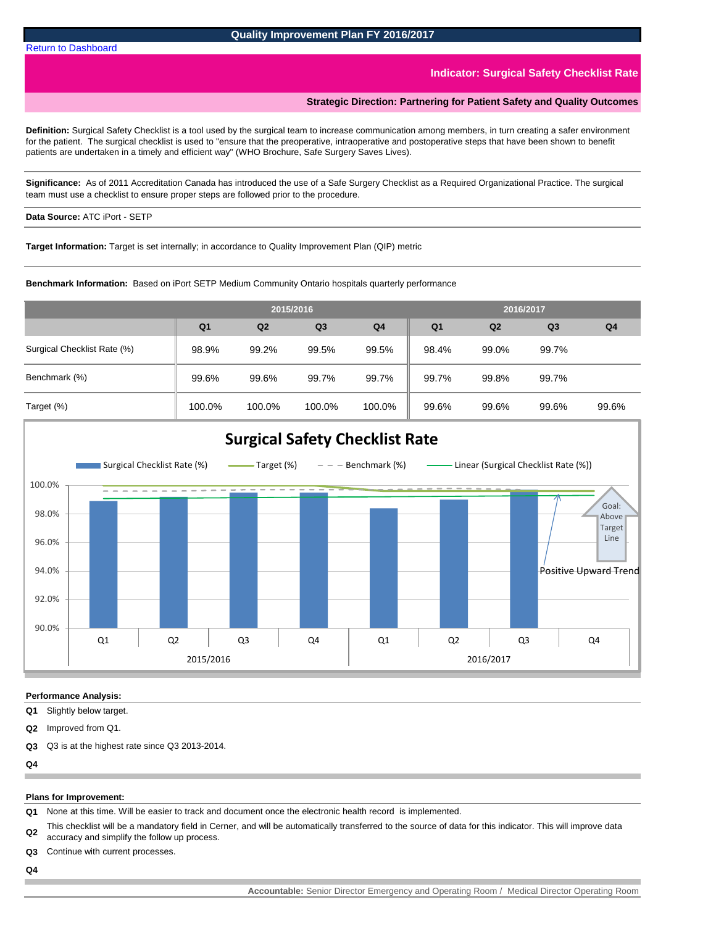#### **Indicator: Surgical Safety Checklist Rate**

## **Strategic Direction: Partnering for Patient Safety and Quality Outcomes**

<span id="page-6-0"></span>**Definition:** Surgical Safety Checklist is a tool used by the surgical team to increase communication among members, in turn creating a safer environment for the patient. The surgical checklist is used to "ensure that the preoperative, intraoperative and postoperative steps that have been shown to benefit patients are undertaken in a timely and efficient way" (WHO Brochure, Safe Surgery Saves Lives).

**Significance:** As of 2011 Accreditation Canada has introduced the use of a Safe Surgery Checklist as a Required Organizational Practice. The surgical team must use a checklist to ensure proper steps are followed prior to the procedure.

## **Data Source:** ATC iPort - SETP

**Target Information:** Target is set internally; in accordance to Quality Improvement Plan (QIP) metric

**Benchmark Information:** Based on iPort SETP Medium Community Ontario hospitals quarterly performance

|                             |                |         | 2015/2016      | 2016/2017 |                |       |                |                |
|-----------------------------|----------------|---------|----------------|-----------|----------------|-------|----------------|----------------|
|                             | Q <sub>1</sub> | Q2      | Q <sub>3</sub> | Q4        | Q <sub>1</sub> | Q2    | Q <sub>3</sub> | Q <sub>4</sub> |
| Surgical Checklist Rate (%) | 98.9%          | 99.2%   | 99.5%          | 99.5%     | 98.4%          | 99.0% | 99.7%          |                |
| Benchmark (%)               | 99.6%          | 99.6%   | 99.7%          | 99.7%     | 99.7%          | 99.8% | 99.7%          |                |
| $T = 22.51 (0)$             | 100.001        | 100.001 | 10000          | 100.001   | 0.001          | 0.001 | 0.000          | 0000           |



#### **Performance Analysis:**

**Q1** Slightly below target.

**Q2** Improved from Q1.

**Q3** Q3 is at the highest rate since Q3 2013-2014.

 $Q_4$ 

#### **Plans for Improvement:**

**Q1** None at this time. Will be easier to track and document once the electronic health record is implemented.

**Q2** This checklist will be a mandatory field in Cerner, and will be automatically transferred to the source of data for this indicator. This will improve data accuracy and simplify the follow up process.

- **Q3** Continue with current processes.
- **Q4**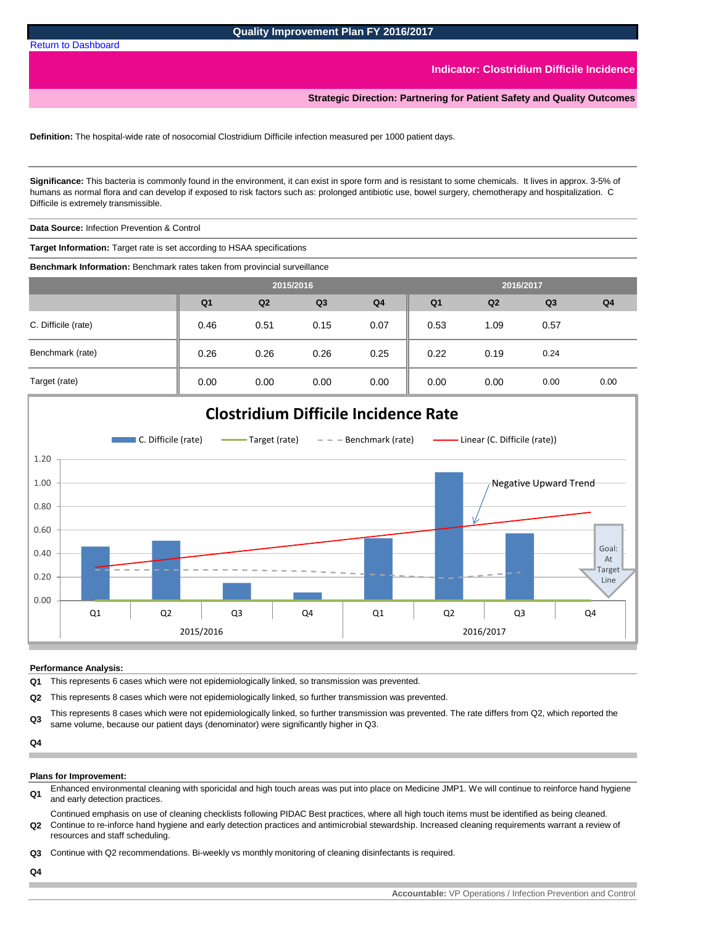**Indicator: Clostridium Difficile Incidence**

**Strategic Direction: Partnering for Patient Safety and Quality Outcomes**

**Definition:** The hospital-wide rate of nosocomial Clostridium Difficile infection measured per 1000 patient days.

**Significance:** This bacteria is commonly found in the environment, it can exist in spore form and is resistant to some chemicals. It lives in approx. 3-5% of humans as normal flora and can develop if exposed to risk factors such as: prolonged antibiotic use, bowel surgery, chemotherapy and hospitalization. C Difficile is extremely transmissible.

**Data Source:** Infection Prevention & Control

**Target Information:** Target rate is set according to HSAA specifications

**Benchmark Information:** Benchmark rates taken from provincial surveillance

|                     | 2015/2016      |      |                |                | 2016/2017      |                |                |                |
|---------------------|----------------|------|----------------|----------------|----------------|----------------|----------------|----------------|
|                     | Q <sub>1</sub> | Q2   | Q <sub>3</sub> | Q <sub>4</sub> | Q <sub>1</sub> | Q <sub>2</sub> | Q <sub>3</sub> | Q <sub>4</sub> |
| C. Difficile (rate) | 0.46           | 0.51 | 0.15           | 0.07           | 0.53           | 1.09           | 0.57           |                |
| Benchmark (rate)    | 0.26           | 0.26 | 0.26           | 0.25           | 0.22           | 0.19           | 0.24           |                |
| Target (rate)       | 0.00           | 0.00 | 0.00           | 0.00           | 0.00           | 0.00           | 0.00           | 0.00           |



#### **Performance Analysis:**

**Q1** This represents 6 cases which were not epidemiologically linked, so transmission was prevented.

**Q2** This represents 8 cases which were not epidemiologically linked, so further transmission was prevented.

**Q3** This represents 8 cases which were not epidemiologically linked, so further transmission was prevented. The rate differs from Q2, which reported the same volume, because our patient days (denominator) were significantly higher in Q3.

**Q4**

#### **Plans for Improvement:**

- **Q1** Enhanced environmental cleaning with sporicidal and high touch areas was put into place on Medicine JMP1. We will continue to reinforce hand hygiene and early detection practices.
- **Q2** Continue to re-inforce hand hygiene and early detection practices and antimicrobial stewardship. Increased cleaning requirements warrant a review of Continued emphasis on use of cleaning checklists following PIDAC Best practices, where all high touch items must be identified as being cleaned. resources and staff scheduling.

**Q3** Continue with Q2 recommendations. Bi-weekly vs monthly monitoring of cleaning disinfectants is required.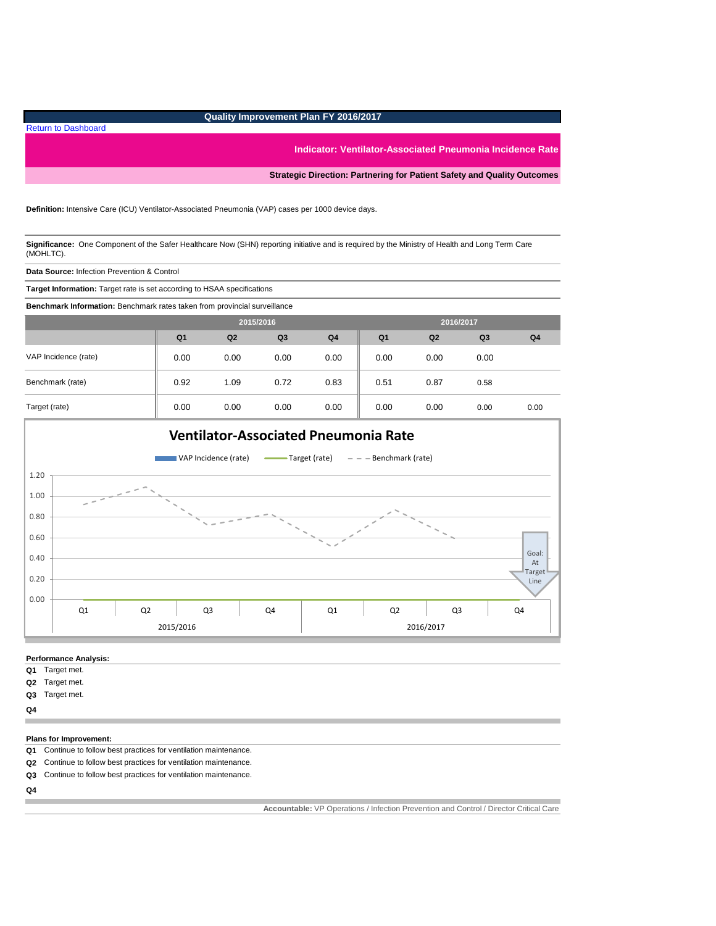# **Quality Improvement Plan FY 2016/2017**

**Indicator: Ventilator-Associated Pneumonia Incidence Rate**

**Strategic Direction: Partnering for Patient Safety and Quality Outcomes**

#### **Definition:** Intensive Care (ICU) Ventilator-Associated Pneumonia (VAP) cases per 1000 device days.

**Significance:** One Component of the Safer Healthcare Now (SHN) reporting initiative and is required by the Ministry of Health and Long Term Care (MOHLTC).

**Data Source:** Infection Prevention & Control

[Return to Dashboard](#page-0-0)

**Target Information:** Target rate is set according to HSAA specifications

**Benchmark Information:** Benchmark rates taken from provincial surveillance

|                      | 2015/2016      |                |                |                | 2016/2017      |                |                |                |
|----------------------|----------------|----------------|----------------|----------------|----------------|----------------|----------------|----------------|
|                      | Q <sub>1</sub> | Q <sub>2</sub> | Q <sub>3</sub> | Q <sub>4</sub> | Q <sub>1</sub> | Q <sub>2</sub> | Q <sub>3</sub> | Q <sub>4</sub> |
| VAP Incidence (rate) | 0.00           | 0.00           | 0.00           | 0.00           | 0.00           | 0.00           | 0.00           |                |
| Benchmark (rate)     | 0.92           | 1.09           | 0.72           | 0.83           | 0.51           | 0.87           | 0.58           |                |
| Target (rate)        | 0.00           | 0.00           | 0.00           | 0.00           | 0.00           | 0.00           | 0.00           | 0.00           |



#### **Performance Analysis:**

- **Q1** Target met.
- **Q2** Target met.
- **Q3** Target met.
- **Q4**

#### **Plans for Improvement:**

- **Q1** Continue to follow best practices for ventilation maintenance.
- **Q2** Continue to follow best practices for ventilation maintenance.
- **Q3** Continue to follow best practices for ventilation maintenance.
- **Q4**

**Accountable:** VP Operations / Infection Prevention and Control / Director Critical Care